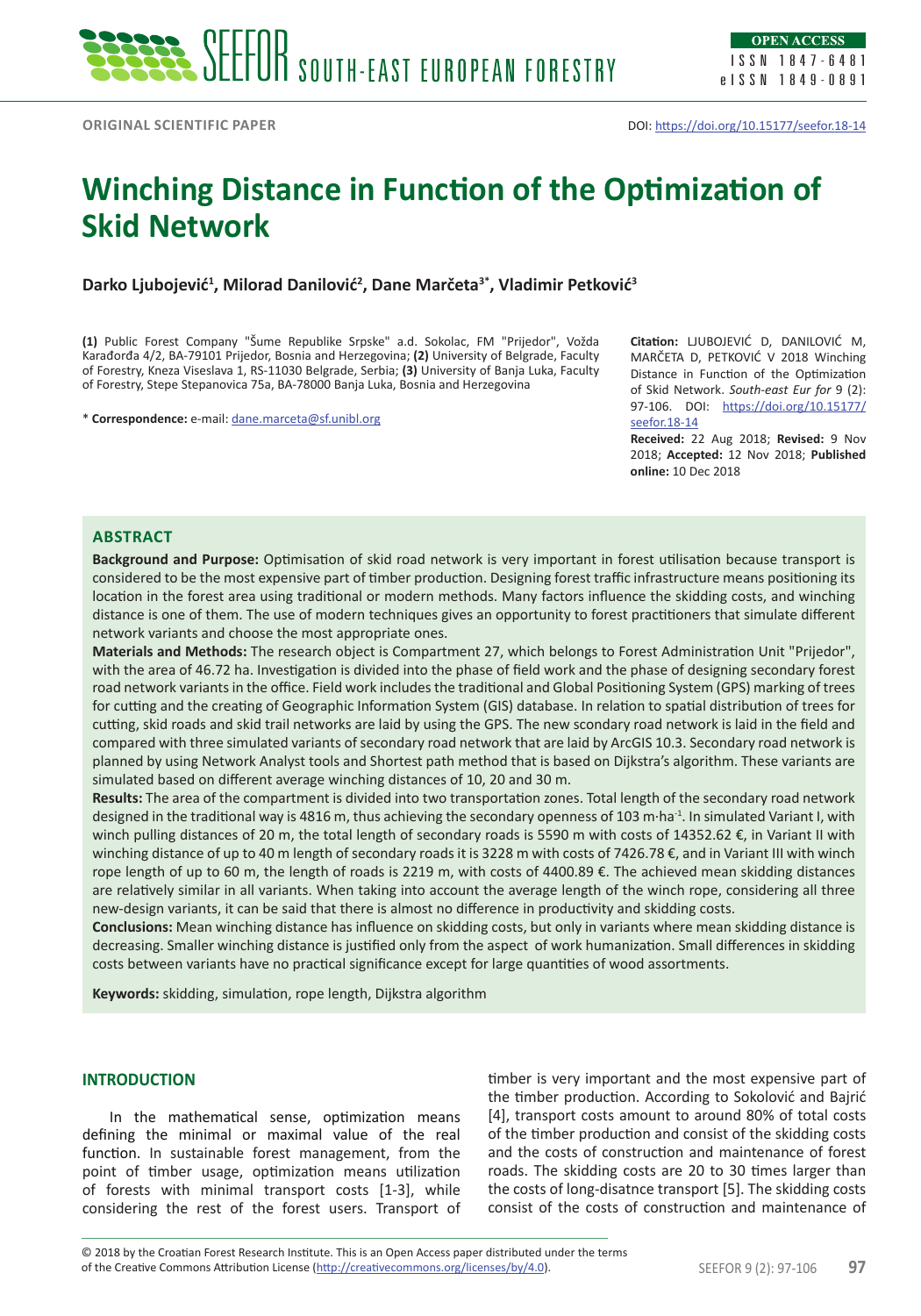# **Winching Distance in Function of the Optimization of Skid Network**

**Darko Ljubojević<sup>1</sup> , Milorad Danilović<sup>2</sup> , Dane Marčeta3\*, Vladimir Petković<sup>3</sup>**

**(1)** Public Forest Company "Šume Republike Srpske" a.d. Sokolac, FM "Prijedor", Vožda Karađorđa 4/2, BA-79101 Prijedor, Bosnia and Herzegovina; **(2)** University of Belgrade, Faculty of Forestry, Kneza Viseslava 1, RS-11030 Belgrade, Serbia; **(3)** University of Banja Luka, Faculty of Forestry, Stepe Stepanovica 75a, BA-78000 Banja Luka, Bosnia and Herzegovina

\* **Correspondence:** e-mail: [dane.marceta@sf.unibl.org](mailto:dane.marceta@sf.unibl.org)

**Citation:** LJUBOJEVIĆ D, DANILOVIĆ M, MARČETA D, PETKOVIĆ V 2018 Winching Distance in Function of the Optimization of Skid Network. *South-east Eur for* 9 (2): 97-106. DOI: [https://doi.org/10.15177/](https://doi.org/10.15177/seefor.18-14) [seefor.18-14](https://doi.org/10.15177/seefor.18-14)

**Received:** 22 Aug 2018; **Revised:** 9 Nov 2018; **Accepted:** 12 Nov 2018; **Published online:** 10 Dec 2018

## **ABSTRACT**

**Background and Purpose:** Optimisation of skid road network is very important in forest utilisation because transport is considered to be the most expensive part of timber production. Designing forest traffic infrastructure means positioning its location in the forest area using traditional or modern methods. Many factors influence the skidding costs, and winching distance is one of them. The use of modern techniques gives an opportunity to forest practitioners that simulate different network variants and choose the most appropriate ones.

**Materials and Methods:** The research object is Compartment 27, which belongs to Forest Administration Unit "Prijedor", with the area of 46.72 ha. Investigation is divided into the phase of field work and the phase of designing secondary forest road network variants in the office. Field work includes the traditional and Global Positioning System (GPS) marking of trees for cutting and the creating of Geographic Information System (GIS) database. In relation to spatial distribution of trees for cutting, skid roads and skid trail networks are laid by using the GPS. The new scondary road network is laid in the field and compared with three simulated variants of secondary road network that are laid by ArcGIS 10.3. Secondary road network is planned by using Network Analyst tools and Shortest path method that is based on Dijkstra's algorithm. These variants are simulated based on different average winching distances of 10, 20 and 30 m.

**Results:** The area of the compartment is divided into two transportation zones. Total length of the secondary road network designed in the traditional way is 4816 m, thus achieving the secondary openness of 103 m·ha<sup>-1</sup>. In simulated Variant I, with winch pulling distances of 20 m, the total length of secondary roads is 5590 m with costs of 14352.62 €, in Variant II with winching distance of up to 40 m length of secondary roads it is 3228 m with costs of 7426.78 €, and in Variant III with winch rope length of up to 60 m, the length of roads is 2219 m, with costs of 4400.89 €. The achieved mean skidding distances are relatively similar in all variants. When taking into account the average length of the winch rope, considering all three new-design variants, it can be said that there is almost no difference in productivity and skidding costs.

**Conclusions:** Mean winching distance has influence on skidding costs, but only in variants where mean skidding distance is decreasing. Smaller winching distance is justified only from the aspect of work humanization. Small differences in skidding costs between variants have no practical significance except for large quantities of wood assortments.

**Keywords:** skidding, simulation, rope length, Dijkstra algorithm

### **INTRODUCTION**

In the mathematical sense, optimization means defining the minimal or maximal value of the real function. In sustainable forest management, from the point of timber usage, optimization means utilization of forests with minimal transport costs [1-3], while considering the rest of the forest users. Transport of timber is very important and the most expensive part of the timber production. According to Sokolović and Bajrić [4], transport costs amount to around 80% of total costs of the timber production and consist of the skidding costs and the costs of construction and maintenance of forest roads. The skidding costs are 20 to 30 times larger than the costs of long-disatnce transport [5]. The skidding costs consist of the costs of construction and maintenance of

of the Creative Commons Attribution License (<http://creativecommons.org/licenses/by/4.0>). SEEFOR 9 (2): 97-106 97 © 2018 by the Croatian Forest Research Institute. This is an Open Access paper distributed under the terms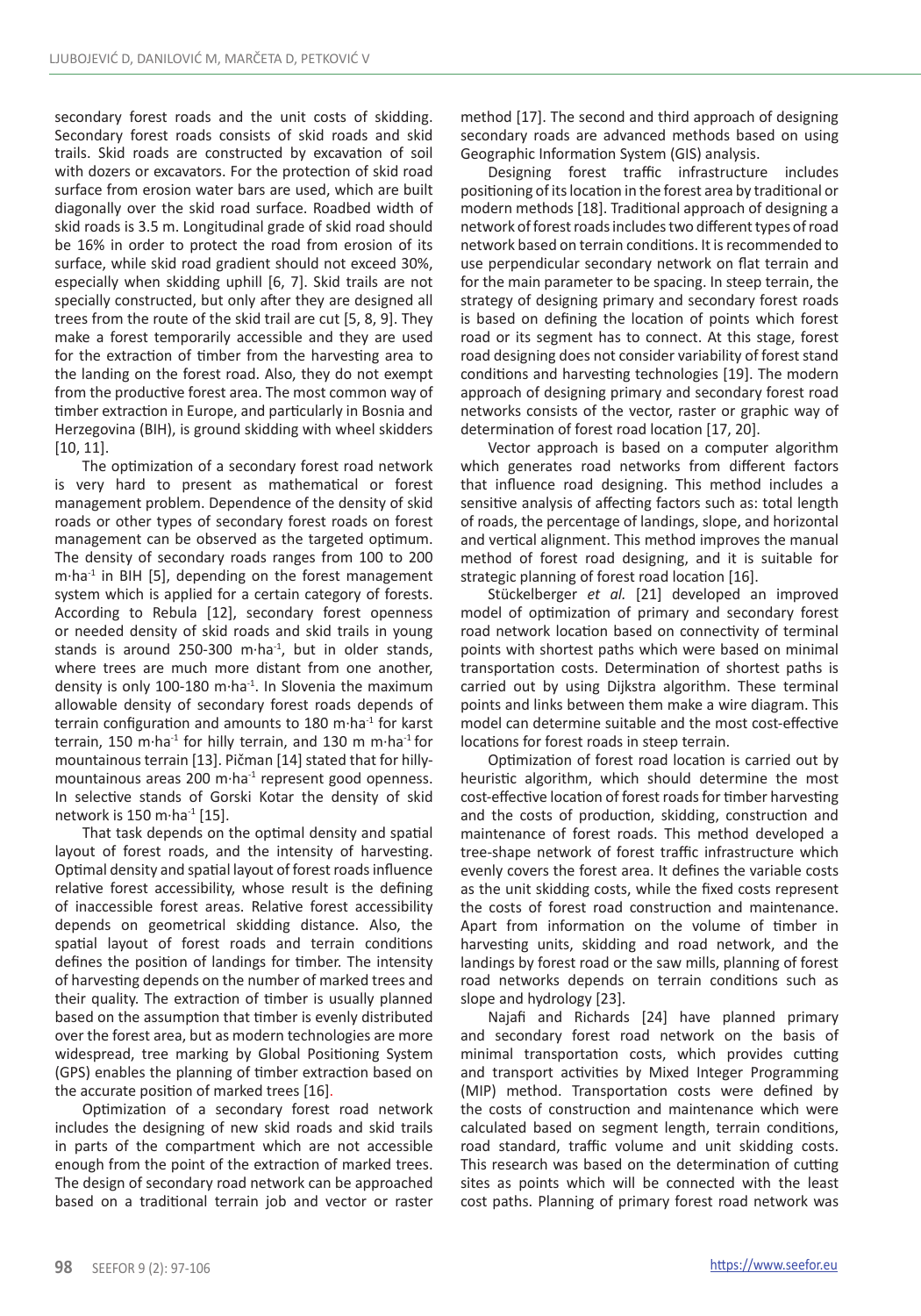secondary forest roads and the unit costs of skidding. Secondary forest roads consists of skid roads and skid trails. Skid roads are constructed by excavation of soil with dozers or excavators. For the protection of skid road surface from erosion water bars are used, which are built diagonally over the skid road surface. Roadbed width of skid roads is 3.5 m. Longitudinal grade of skid road should be 16% in order to protect the road from erosion of its surface, while skid road gradient should not exceed 30%, especially when skidding uphill [6, 7]. Skid trails are not specially constructed, but only after they are designed all trees from the route of the skid trail are cut [5, 8, 9]. They make a forest temporarily accessible and they are used for the extraction of timber from the harvesting area to the landing on the forest road. Also, they do not exempt from the productive forest area. The most common way of timber extraction in Europe, and particularly in Bosnia and Herzegovina (BIH), is ground skidding with wheel skidders [10, 11].

The optimization of a secondary forest road network is very hard to present as mathematical or forest management problem. Dependence of the density of skid roads or other types of secondary forest roads on forest management can be observed as the targeted optimum. The density of secondary roads ranges from 100 to 200  $m \cdot ha^{-1}$  in BIH [5], depending on the forest management system which is applied for a certain category of forests. According to Rebula [12], secondary forest openness or needed density of skid roads and skid trails in young stands is around 250-300 m $\cdot$ ha $^{-1}$ , but in older stands, where trees are much more distant from one another, density is only 100-180 m $\cdot$ ha $^{-1}$ . In Slovenia the maximum allowable density of secondary forest roads depends of terrain configuration and amounts to 180 m·ha<sup>-1</sup> for karst terrain, 150 m·ha<sup>-1</sup> for hilly terrain, and 130 m m·ha<sup>-1</sup> for mountainous terrain [13]. Pičman [14] stated that for hillymountainous areas 200 m $\cdot$ ha<sup>-1</sup> represent good openness. In selective stands of Gorski Kotar the density of skid network is 150 m·ha-1 [15].

That task depends on the optimal density and spatial layout of forest roads, and the intensity of harvesting. Optimal density and spatial layout of forest roads influence relative forest accessibility, whose result is the defining of inaccessible forest areas. Relative forest accessibility depends on geometrical skidding distance. Also, the spatial layout of forest roads and terrain conditions defines the position of landings for timber. The intensity of harvesting depends on the number of marked trees and their quality. The extraction of timber is usually planned based on the assumption that timber is evenly distributed over the forest area, but as modern technologies are more widespread, tree marking by Global Positioning System (GPS) enables the planning of timber extraction based on the accurate position of marked trees [16].

Optimization of a secondary forest road network includes the designing of new skid roads and skid trails in parts of the compartment which are not accessible enough from the point of the extraction of marked trees. The design of secondary road network can be approached based on a traditional terrain job and vector or raster method [17]. The second and third approach of designing secondary roads are advanced methods based on using Geographic Information System (GIS) analysis.

Designing forest traffic infrastructure includes positioning of its location in the forest area by traditional or modern methods [18]. Traditional approach of designing a network of forest roads includes two different types of road network based on terrain conditions. It is recommended to use perpendicular secondary network on flat terrain and for the main parameter to be spacing. In steep terrain, the strategy of designing primary and secondary forest roads is based on defining the location of points which forest road or its segment has to connect. At this stage, forest road designing does not consider variability of forest stand conditions and harvesting technologies [19]. The modern approach of designing primary and secondary forest road networks consists of the vector, raster or graphic way of determination of forest road location [17, 20].

Vector approach is based on a computer algorithm which generates road networks from different factors that influence road designing. This method includes a sensitive analysis of affecting factors such as: total length of roads, the percentage of landings, slope, and horizontal and vertical alignment. This method improves the manual method of forest road designing, and it is suitable for strategic planning of forest road location [16].

Stückelberger *et al.* [21] developed an improved model of optimization of primary and secondary forest road network location based on connectivity of terminal points with shortest paths which were based on minimal transportation costs. Determination of shortest paths is carried out by using Dijkstra algorithm. These terminal points and links between them make a wire diagram. This model can determine suitable and the most cost-effective locations for forest roads in steep terrain.

Optimization of forest road location is carried out by heuristic algorithm, which should determine the most cost-effective location of forest roads for timber harvesting and the costs of production, skidding, construction and maintenance of forest roads. This method developed a tree-shape network of forest traffic infrastructure which evenly covers the forest area. It defines the variable costs as the unit skidding costs, while the fixed costs represent the costs of forest road construction and maintenance. Apart from information on the volume of timber in harvesting units, skidding and road network, and the landings by forest road or the saw mills, planning of forest road networks depends on terrain conditions such as slope and hydrology [23].

Najafi and Richards [24] have planned primary and secondary forest road network on the basis of minimal transportation costs, which provides cutting and transport activities by Mixed Integer Programming (MIP) method. Transportation costs were defined by the costs of construction and maintenance which were calculated based on segment length, terrain conditions, road standard, traffic volume and unit skidding costs. This research was based on the determination of cutting sites as points which will be connected with the least cost paths. Planning of primary forest road network was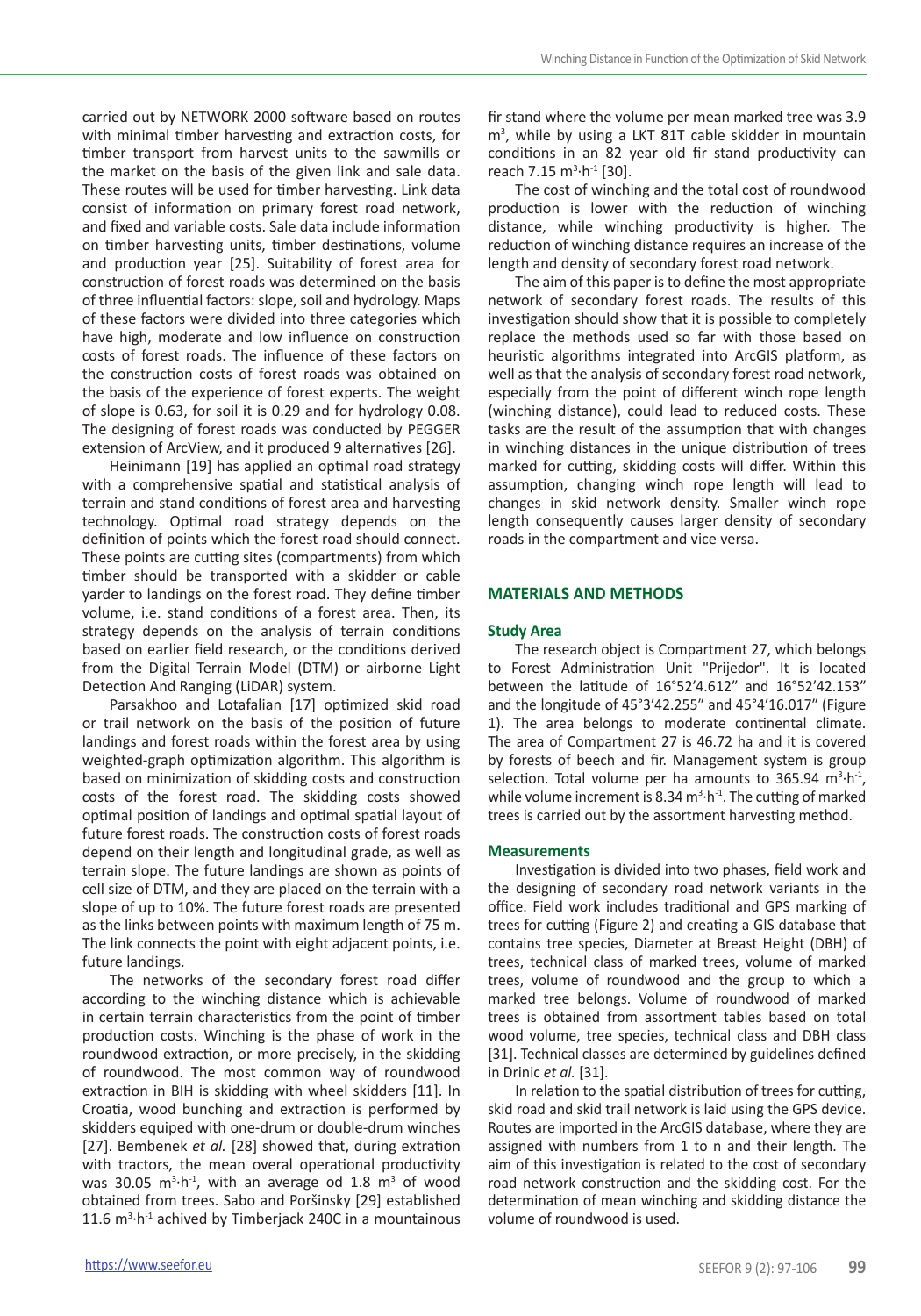carried out by NETWORK 2000 software based on routes with minimal timber harvesting and extraction costs, for timber transport from harvest units to the sawmills or the market on the basis of the given link and sale data. These routes will be used for timber harvesting. Link data consist of information on primary forest road network, and fixed and variable costs. Sale data include information on timber harvesting units, timber destinations, volume and production year [25]. Suitability of forest area for construction of forest roads was determined on the basis of three influential factors: slope, soil and hydrology. Maps of these factors were divided into three categories which have high, moderate and low influence on construction costs of forest roads. The influence of these factors on the construction costs of forest roads was obtained on the basis of the experience of forest experts. The weight of slope is 0.63, for soil it is 0.29 and for hydrology 0.08. The designing of forest roads was conducted by PEGGER extension of ArcView, and it produced 9 alternatives [26].

Heinimann [19] has applied an optimal road strategy with a comprehensive spatial and statistical analysis of terrain and stand conditions of forest area and harvesting technology. Optimal road strategy depends on the definition of points which the forest road should connect. These points are cutting sites (compartments) from which timber should be transported with a skidder or cable yarder to landings on the forest road. They define timber volume, i.e. stand conditions of a forest area. Then, its strategy depends on the analysis of terrain conditions based on earlier field research, or the conditions derived from the Digital Terrain Model (DTM) or airborne Light Detection And Ranging (LiDAR) system.

Parsakhoo and Lotafalian [17] optimized skid road or trail network on the basis of the position of future landings and forest roads within the forest area by using weighted-graph optimization algorithm. This algorithm is based on minimization of skidding costs and construction costs of the forest road. The skidding costs showed optimal position of landings and optimal spatial layout of future forest roads. The construction costs of forest roads depend on their length and longitudinal grade, as well as terrain slope. The future landings are shown as points of cell size of DTM, and they are placed on the terrain with a slope of up to 10%. The future forest roads are presented as the links between points with maximum length of 75 m. The link connects the point with eight adjacent points, i.e. future landings.

The networks of the secondary forest road differ according to the winching distance which is achievable in certain terrain characteristics from the point of timber production costs. Winching is the phase of work in the roundwood extraction, or more precisely, in the skidding of roundwood. The most common way of roundwood extraction in BIH is skidding with wheel skidders [11]. In Croatia, wood bunching and extraction is performed by skidders equiped with one-drum or double-drum winches [27]. Bembenek *et al.* [28] showed that, during extration with tractors, the mean overal operational productivity was 30.05  $m^3 \cdot h^{-1}$ , with an average od 1.8  $m^3$  of wood obtained from trees. Sabo and Poršinsky [29] established 11.6  $m<sup>3</sup>·h<sup>-1</sup>$  achived by Timberjack 240C in a mountainous fir stand where the volume per mean marked tree was 3.9 m<sup>3</sup>, while by using a LKT 81T cable skidder in mountain conditions in an 82 year old fir stand productivity can reach 7.15 m3 ·h-1 [30].

The cost of winching and the total cost of roundwood production is lower with the reduction of winching distance, while winching productivity is higher. The reduction of winching distance requires an increase of the length and density of secondary forest road network.

The aim of this paper is to define the most appropriate network of secondary forest roads. The results of this investigation should show that it is possible to completely replace the methods used so far with those based on heuristic algorithms integrated into ArcGIS platform, as well as that the analysis of secondary forest road network, especially from the point of different winch rope length (winching distance), could lead to reduced costs. These tasks are the result of the assumption that with changes in winching distances in the unique distribution of trees marked for cutting, skidding costs will differ. Within this assumption, changing winch rope length will lead to changes in skid network density. Smaller winch rope length consequently causes larger density of secondary roads in the compartment and vice versa.

## **MATERIALS AND METHODS**

#### **Study Area**

The research object is Compartment 27, which belongs to Forest Administration Unit "Prijedor". It is located between the latitude of 16°52′4.612″ and 16°52′42.153″ and the longitude of 45°3′42.255″ and 45°4′16.017″ (Figure 1). The area belongs to moderate continental climate. The area of Compartment 27 is 46.72 ha and it is covered by forests of beech and fir. Management system is group selection. Total volume per ha amounts to 365.94  $m^3 \cdot h^{-1}$ , while volume increment is 8.34  $m<sup>3</sup>·h<sup>-1</sup>$ . The cutting of marked trees is carried out by the assortment harvesting method.

#### **Measurements**

Investigation is divided into two phases, field work and the designing of secondary road network variants in the office. Field work includes traditional and GPS marking of trees for cutting (Figure 2) and creating a GIS database that contains tree species, Diameter at Breast Height (DBH) of trees, technical class of marked trees, volume of marked trees, volume of roundwood and the group to which a marked tree belongs. Volume of roundwood of marked trees is obtained from assortment tables based on total wood volume, tree species, technical class and DBH class [31]. Technical classes are determined by guidelines defined in Drinic *et al.* [31].

In relation to the spatial distribution of trees for cutting, skid road and skid trail network is laid using the GPS device. Routes are imported in the ArcGIS database, where they are assigned with numbers from 1 to n and their length. The aim of this investigation is related to the cost of secondary road network construction and the skidding cost. For the determination of mean winching and skidding distance the volume of roundwood is used.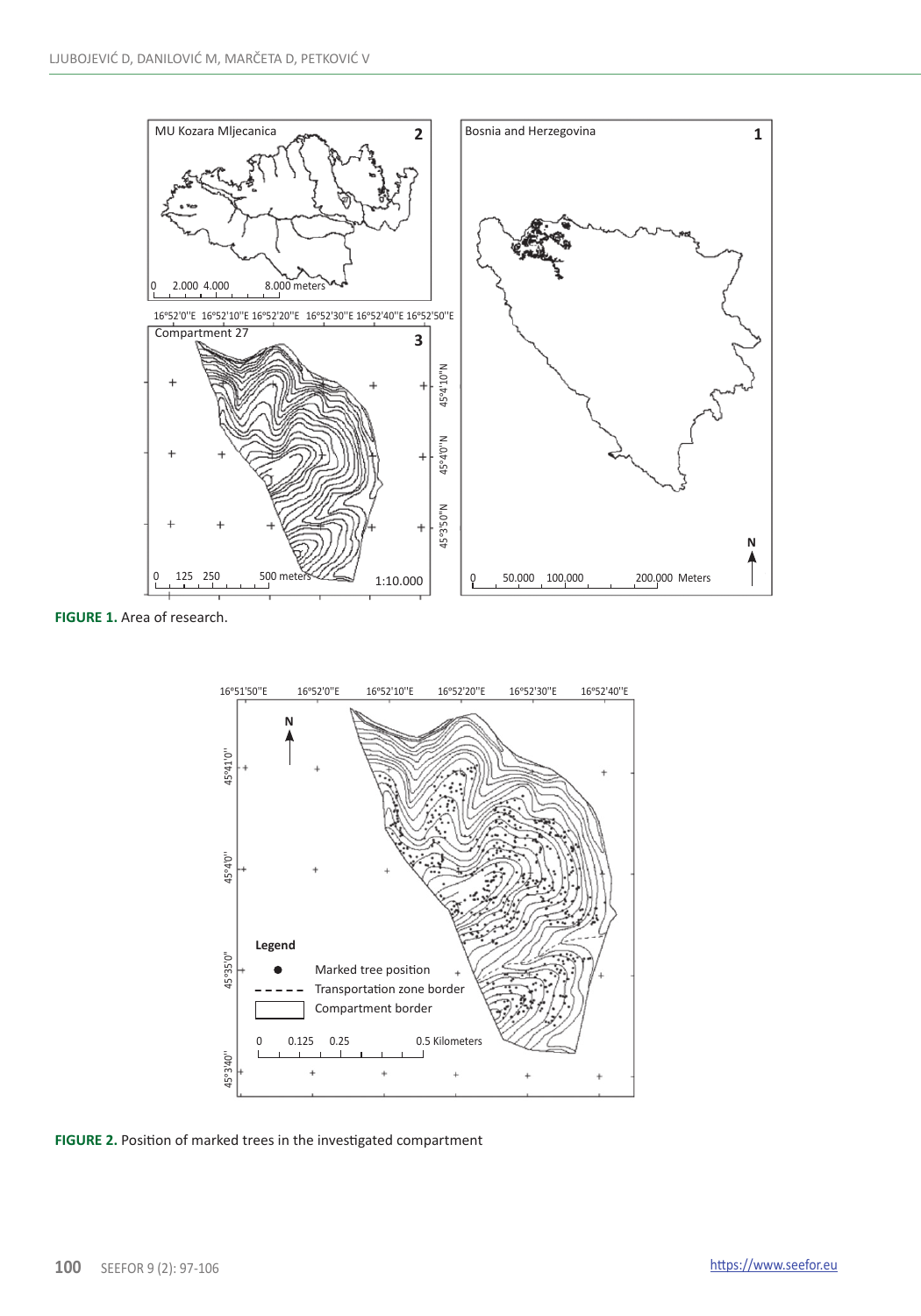

**FIGURE 1.** Area of research.



**FIGURE 2.** Position of marked trees in the investigated compartment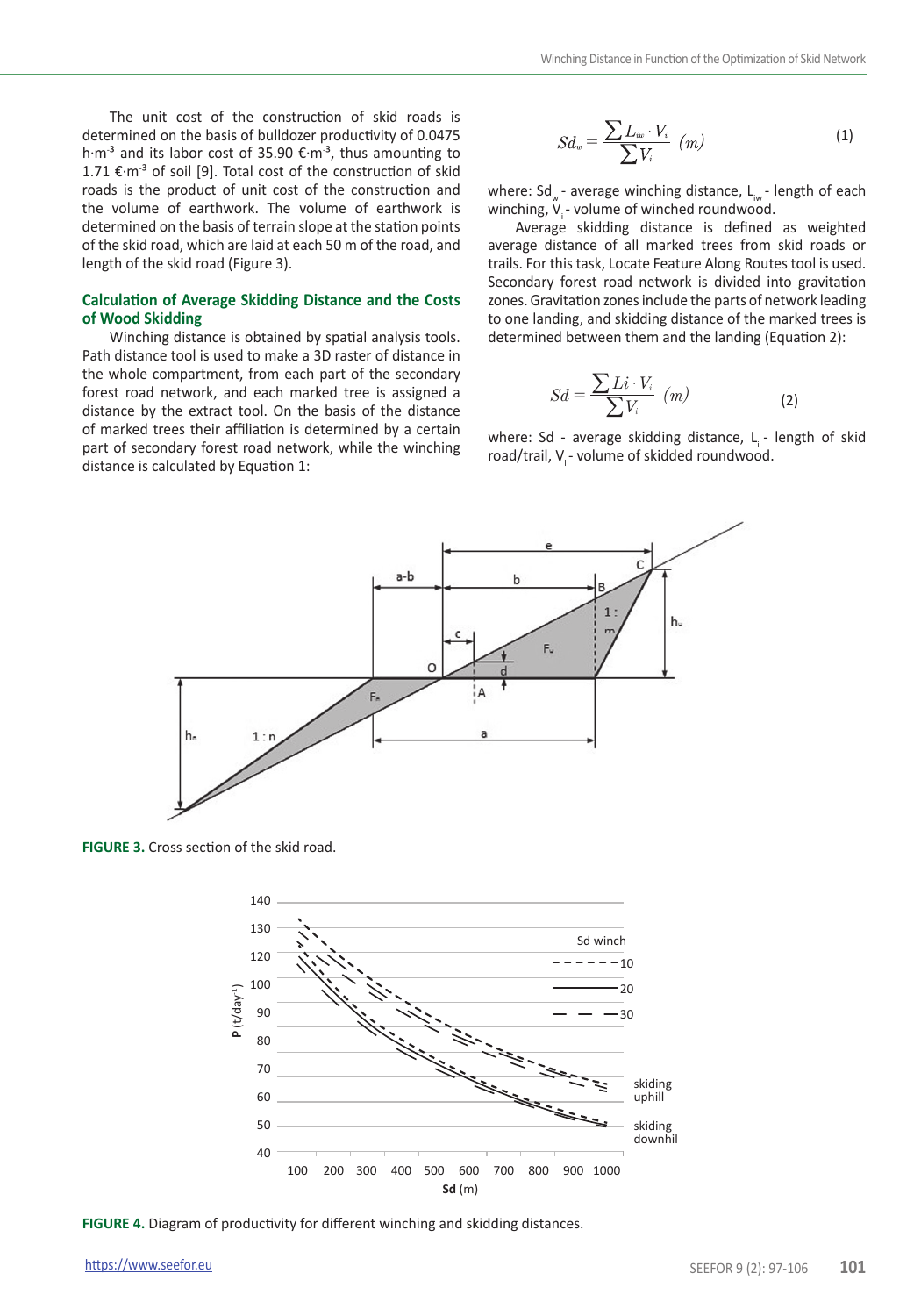The unit cost of the construction of skid roads is determined on the basis of bulldozer productivity of 0.0475 h·m<sup>-3</sup> and its labor cost of 35.90 €·m<sup>-3</sup>, thus amounting to 1.71  $€·m<sup>-3</sup>$  of soil [9]. Total cost of the construction of skid roads is the product of unit cost of the construction and the volume of earthwork. The volume of earthwork is determined on the basis of terrain slope at the station points of the skid road, which are laid at each 50 m of the road, and length of the skid road (Figure 3).

## **Calculation of Average Skidding Distance and the Costs of Wood Skidding**

Winching distance is obtained by spatial analysis tools. Path distance tool is used to make a 3D raster of distance in the whole compartment, from each part of the secondary forest road network, and each marked tree is assigned a distance by the extract tool. On the basis of the distance of marked trees their affiliation is determined by a certain part of secondary forest road network, while the winching distance is calculated by Equation 1:

$$
Sd_w = \frac{\sum L_{iw} \cdot V_i}{\sum V_i} \quad (m)
$$
 (1)

where: Sd<sub>w</sub> - average winching distance, L<sub>w</sub> - length of each winching,  $V_i$  - volume of winched roundwood.

Average skidding distance is defined as weighted average distance of all marked trees from skid roads or trails. For this task, Locate Feature Along Routes tool is used. Secondary forest road network is divided into gravitation zones. Gravitation zones include the parts of network leading to one landing, and skidding distance of the marked trees is determined between them and the landing (Equation 2):

$$
Sd = \frac{\sum Li \cdot V_i}{\sum V_i} \quad (m)
$$
 (2)

where: Sd - average skidding distance, L<sub>i</sub> - length of skid road/trail, V<sub>i</sub> - volume of skidded roundwood.



**FIGURE 3.** Cross section of the skid road.



**FIGURE 4.** Diagram of productivity for different winching and skidding distances.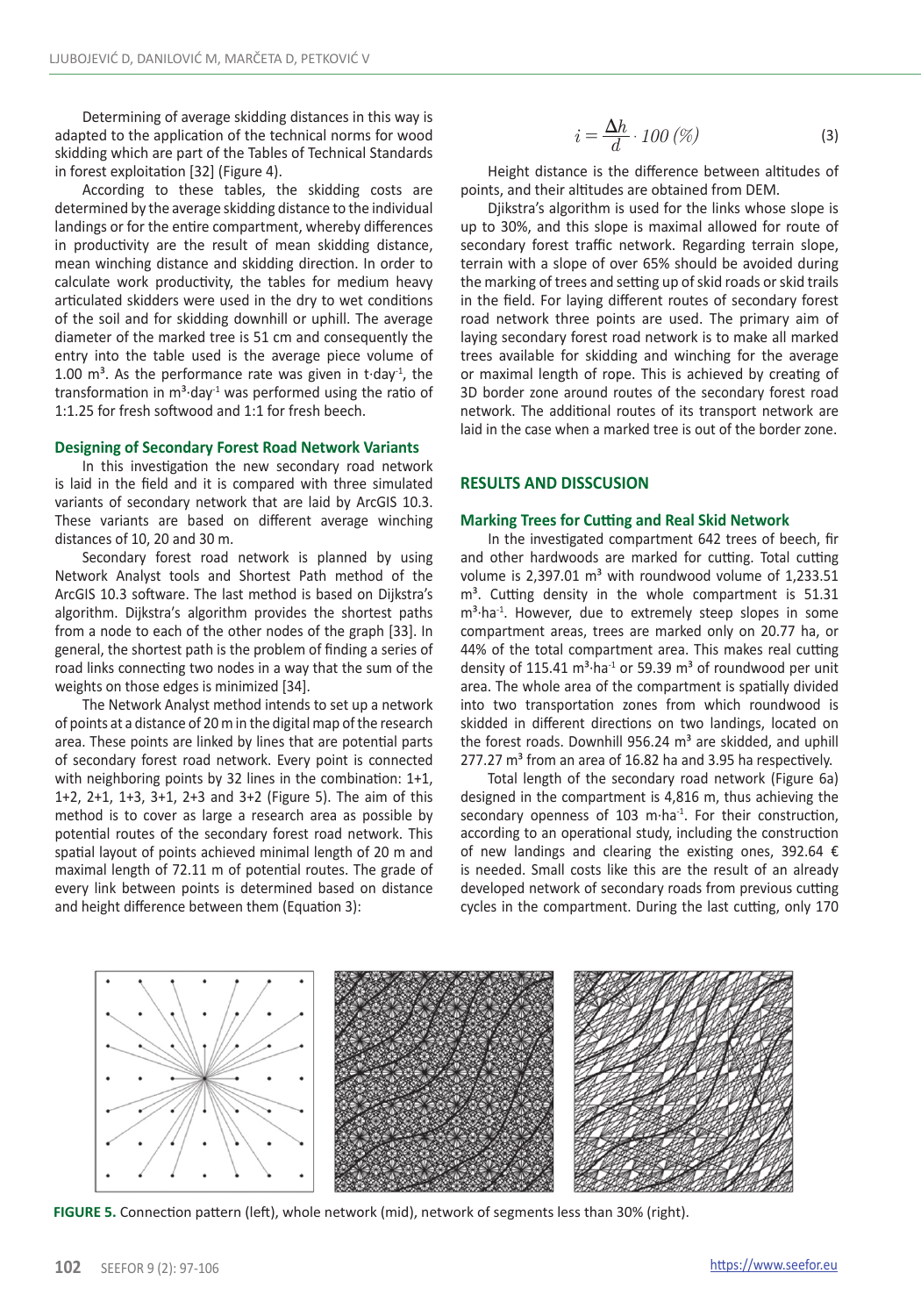Determining of average skidding distances in this way is adapted to the application of the technical norms for wood skidding which are part of the Tables of Technical Standards in forest exploitation [32] (Figure 4).

According to these tables, the skidding costs are determined by the average skidding distance to the individual landings or for the entire compartment, whereby differences in productivity are the result of mean skidding distance, mean winching distance and skidding direction. In order to calculate work productivity, the tables for medium heavy articulated skidders were used in the dry to wet conditions of the soil and for skidding downhill or uphill. The average diameter of the marked tree is 51 cm and consequently the entry into the table used is the average piece volume of 1.00  $m^3$ . As the performance rate was given in t $\cdot$ day<sup>-1</sup>, the transformation in  $m<sup>3</sup>$ ·day<sup>-1</sup> was performed using the ratio of 1:1.25 for fresh softwood and 1:1 for fresh beech.

#### **Designing of Secondary Forest Road Network Variants**

In this investigation the new secondary road network is laid in the field and it is compared with three simulated variants of secondary network that are laid by ArcGIS 10.3. These variants are based on different average winching distances of 10, 20 and 30 m.

Secondary forest road network is planned by using Network Analyst tools and Shortest Path method of the ArcGIS 10.3 software. The last method is based on Dijkstra's algorithm. Dijkstra′s algorithm provides the shortest paths from a node to each of the other nodes of the graph [33]. In general, the shortest path is the problem of finding a series of road links connecting two nodes in a way that the sum of the weights on those edges is minimized [34].

The Network Analyst method intends to set up a network of points at a distance of 20 m in the digital map of the research area. These points are linked by lines that are potential parts of secondary forest road network. Every point is connected with neighboring points by 32 lines in the combination: 1+1, 1+2, 2+1, 1+3, 3+1, 2+3 and 3+2 (Figure 5). The aim of this method is to cover as large a research area as possible by potential routes of the secondary forest road network. This spatial layout of points achieved minimal length of 20 m and maximal length of 72.11 m of potential routes. The grade of every link between points is determined based on distance and height difference between them (Equation 3):

$$
i = \frac{\Delta h}{d} \cdot 100 \, (\%) \tag{3}
$$

Height distance is the difference between altitudes of points, and their altitudes are obtained from DEM.

Djikstra's algorithm is used for the links whose slope is up to 30%, and this slope is maximal allowed for route of secondary forest traffic network. Regarding terrain slope, terrain with a slope of over 65% should be avoided during the marking of trees and setting up of skid roads or skid trails in the field. For laying different routes of secondary forest road network three points are used. The primary aim of laying secondary forest road network is to make all marked trees available for skidding and winching for the average or maximal length of rope. This is achieved by creating of 3D border zone around routes of the secondary forest road network. The additional routes of its transport network are laid in the case when a marked tree is out of the border zone.

## **RESULTS AND DISSCUSION**

#### **Marking Trees for Cutting and Real Skid Network**

In the investigated compartment 642 trees of beech, fir and other hardwoods are marked for cutting. Total cutting volume is 2,397.01  $m<sup>3</sup>$  with roundwood volume of 1,233.51  $m<sup>3</sup>$ . Cutting density in the whole compartment is 51.31  $m<sup>3</sup>·ha<sup>-1</sup>$ . However, due to extremely steep slopes in some compartment areas, trees are marked only on 20.77 ha, or 44% of the total compartment area. This makes real cutting density of 115.41  $m^3$ ·ha<sup>-1</sup> or 59.39  $m^3$  of roundwood per unit area. The whole area of the compartment is spatially divided into two transportation zones from which roundwood is skidded in different directions on two landings, located on the forest roads. Downhill 956.24  $m<sup>3</sup>$  are skidded, and uphill  $277.27$  m<sup>3</sup> from an area of 16.82 ha and 3.95 ha respectively.

Total length of the secondary road network (Figure 6a) designed in the compartment is 4,816 m, thus achieving the secondary openness of 103 m·ha<sup>-1</sup>. For their construction, according to an operational study, including the construction of new landings and clearing the existing ones, 392.64  $\epsilon$ is needed. Small costs like this are the result of an already developed network of secondary roads from previous cutting cycles in the compartment. During the last cutting, only 170



**FIGURE 5.** Connection pattern (left), whole network (mid), network of segments less than 30% (right).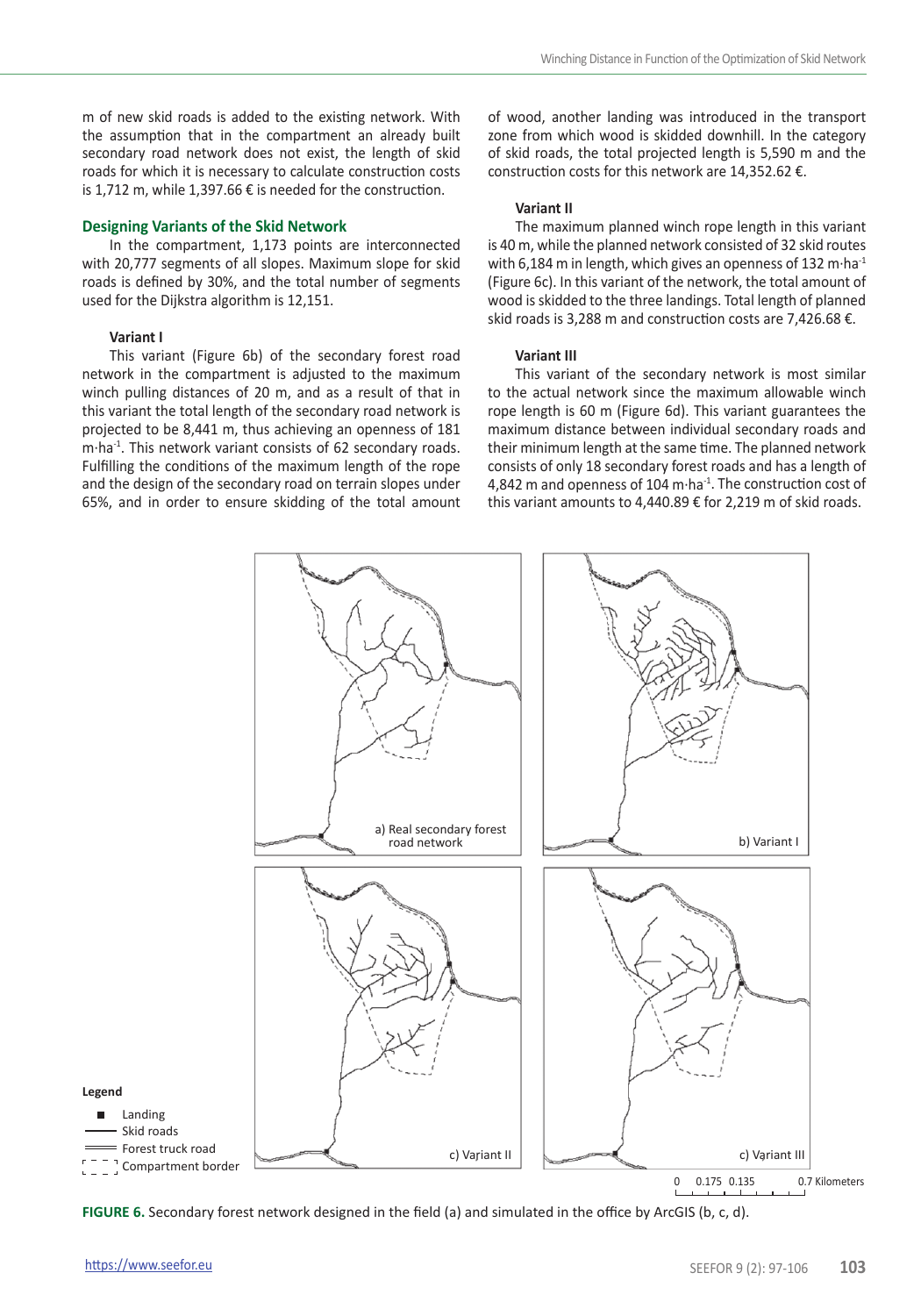m of new skid roads is added to the existing network. With the assumption that in the compartment an already built secondary road network does not exist, the length of skid roads for which it is necessary to calculate construction costs is 1,712 m, while 1,397.66 € is needed for the construction.

#### **Designing Variants of the Skid Network**

In the compartment, 1,173 points are interconnected with 20,777 segments of all slopes. Maximum slope for skid roads is defined by 30%, and the total number of segments used for the Dijkstra algorithm is 12,151.

## **Variant I**

This variant (Figure 6b) of the secondary forest road network in the compartment is adjusted to the maximum winch pulling distances of 20 m, and as a result of that in this variant the total length of the secondary road network is projected to be 8,441 m, thus achieving an openness of 181 m·ha-1. This network variant consists of 62 secondary roads. Fulfilling the conditions of the maximum length of the rope and the design of the secondary road on terrain slopes under 65%, and in order to ensure skidding of the total amount of wood, another landing was introduced in the transport zone from which wood is skidded downhill. In the category of skid roads, the total projected length is 5,590 m and the construction costs for this network are 14,352.62 €.

#### **Variant II**

The maximum planned winch rope length in this variant is 40 m, while the planned network consisted of 32 skid routes with 6,184 m in length, which gives an openness of 132 m $\cdot$ ha $^{-1}$ (Figure 6c). In this variant of the network, the total amount of wood is skidded to the three landings. Total length of planned skid roads is 3,288 m and construction costs are 7,426.68 €.

#### **Variant III**

This variant of the secondary network is most similar to the actual network since the maximum allowable winch rope length is 60 m (Figure 6d). This variant guarantees the maximum distance between individual secondary roads and their minimum length at the same time. The planned network consists of only 18 secondary forest roads and has a length of 4,842 m and openness of 104 m·ha<sup>-1</sup>. The construction cost of this variant amounts to 4,440.89 € for 2,219 m of skid roads.



**FIGURE 6.** Secondary forest network designed in the field (a) and simulated in the office by ArcGIS (b, c, d).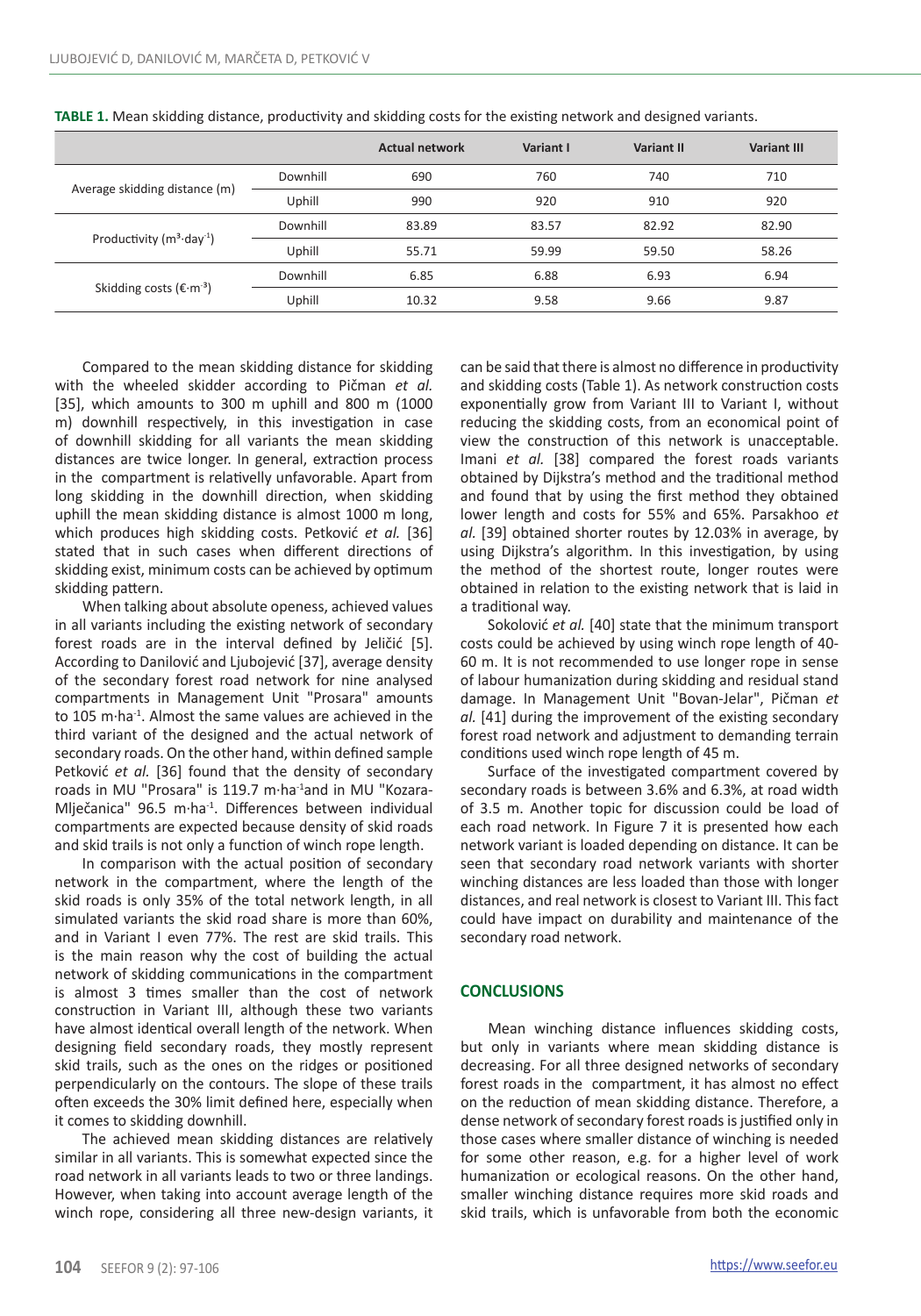|                                     |          | <b>Actual network</b> | Variant I | Variant II | <b>Variant III</b> |
|-------------------------------------|----------|-----------------------|-----------|------------|--------------------|
| Average skidding distance (m)       | Downhill | 690                   | 760       | 740        | 710                |
|                                     | Uphill   | 990                   | 920       | 910        | 920                |
| Productivity $(m^3 \cdot day^{-1})$ | Downhill | 83.89                 | 83.57     | 82.92      | 82.90              |
|                                     | Uphill   | 55.71                 | 59.99     | 59.50      | 58.26              |
| Skidding costs (€ $·m-3$ )          | Downhill | 6.85                  | 6.88      | 6.93       | 6.94               |
|                                     | Uphill   | 10.32                 | 9.58      | 9.66       | 9.87               |

**TABLE 1.** Mean skidding distance, productivity and skidding costs for the existing network and designed variants.

Compared to the mean skidding distance for skidding with the wheeled skidder according to Pičman *et al.* [35], which amounts to 300 m uphill and 800 m (1000 m) downhill respectively, in this investigation in case of downhill skidding for all variants the mean skidding distances are twice longer. In general, extraction process in the compartment is relativelly unfavorable. Apart from long skidding in the downhill direction, when skidding uphill the mean skidding distance is almost 1000 m long, which produces high skidding costs. Petković *et al.* [36] stated that in such cases when different directions of skidding exist, minimum costs can be achieved by optimum skidding pattern.

When talking about absolute openess, achieved values in all variants including the existing network of secondary forest roads are in the interval defined by Jeličić [5]. According to Danilović and Ljubojević [37], average density of the secondary forest road network for nine analysed compartments in Management Unit "Prosara" amounts to 105 m·ha<sup>-1</sup>. Almost the same values are achieved in the third variant of the designed and the actual network of secondary roads. On the other hand, within defined sample Petković *et al.* [36] found that the density of secondary roads in MU "Prosara" is 119.7 m·ha<sup>-1</sup>and in MU "Kozara-Mlječanica" 96.5 m·ha-1. Differences between individual compartments are expected because density of skid roads and skid trails is not only a function of winch rope length.

In comparison with the actual position of secondary network in the compartment, where the length of the skid roads is only 35% of the total network length, in all simulated variants the skid road share is more than 60%, and in Variant I even 77%. The rest are skid trails. This is the main reason why the cost of building the actual network of skidding communications in the compartment is almost 3 times smaller than the cost of network construction in Variant III, although these two variants have almost identical overall length of the network. When designing field secondary roads, they mostly represent skid trails, such as the ones on the ridges or positioned perpendicularly on the contours. The slope of these trails often exceeds the 30% limit defined here, especially when it comes to skidding downhill.

The achieved mean skidding distances are relatively similar in all variants. This is somewhat expected since the road network in all variants leads to two or three landings. However, when taking into account average length of the winch rope, considering all three new-design variants, it

can be said that there is almost no difference in productivity and skidding costs (Table 1). As network construction costs exponentially grow from Variant III to Variant I, without reducing the skidding costs, from an economical point of view the construction of this network is unacceptable. Imani *et al.* [38] compared the forest roads variants obtained by Dijkstra's method and the traditional method and found that by using the first method they obtained lower length and costs for 55% and 65%. Parsakhoo *et al.* [39] obtained shorter routes by 12.03% in average, by using Dijkstra's algorithm. In this investigation, by using the method of the shortest route, longer routes were obtained in relation to the existing network that is laid in a traditional way.

Sokolović *et al.* [40] state that the minimum transport costs could be achieved by using winch rope length of 40- 60 m. It is not recommended to use longer rope in sense of labour humanization during skidding and residual stand damage. In Management Unit "Bovan-Jelar", Pičman *et al.* [41] during the improvement of the existing secondary forest road network and adjustment to demanding terrain conditions used winch rope length of 45 m.

Surface of the investigated compartment covered by secondary roads is between 3.6% and 6.3%, at road width of 3.5 m. Another topic for discussion could be load of each road network. In Figure 7 it is presented how each network variant is loaded depending on distance. It can be seen that secondary road network variants with shorter winching distances are less loaded than those with longer distances, and real network is closest to Variant III. This fact could have impact on durability and maintenance of the secondary road network.

## **CONCLUSIONS**

Mean winching distance influences skidding costs, but only in variants where mean skidding distance is decreasing. For all three designed networks of secondary forest roads in the compartment, it has almost no effect on the reduction of mean skidding distance. Therefore, a dense network of secondary forest roads is justified only in those cases where smaller distance of winching is needed for some other reason, e.g. for a higher level of work humanization or ecological reasons. On the other hand, smaller winching distance requires more skid roads and skid trails, which is unfavorable from both the economic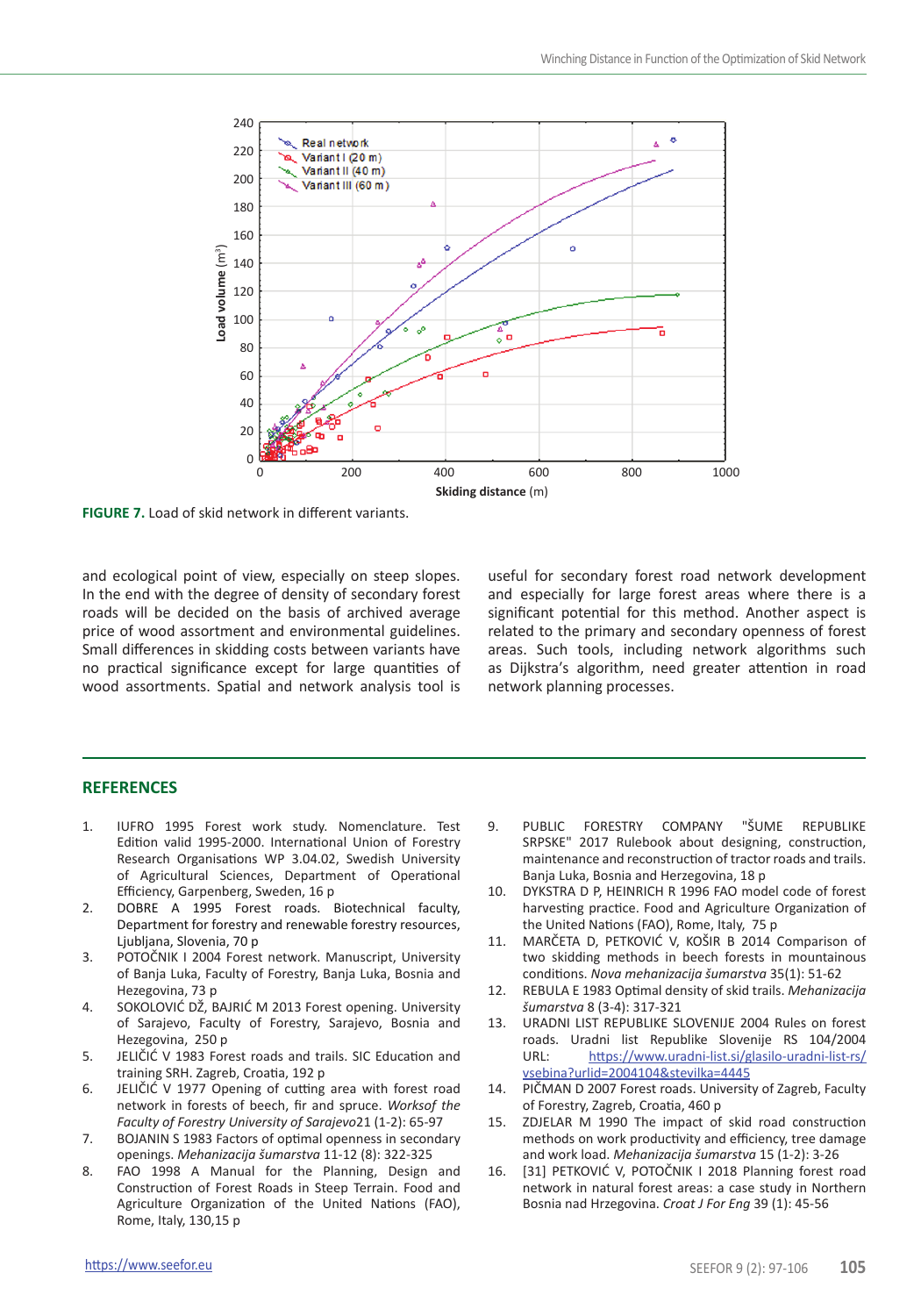

**FIGURE 7.** Load of skid network in different variants.

and ecological point of view, especially on steep slopes. In the end with the degree of density of secondary forest roads will be decided on the basis of archived average price of wood assortment and environmental guidelines. Small differences in skidding costs between variants have no practical significance except for large quantities of wood assortments. Spatial and network analysis tool is

useful for secondary forest road network development and especially for large forest areas where there is a significant potential for this method. Another aspect is related to the primary and secondary openness of forest areas. Such tools, including network algorithms such as Dijkstra′s algorithm, need greater attention in road network planning processes.

## **REFERENCES**

- 1. IUFRO 1995 Forest work study. Nomenclature. Test Edition valid 1995-2000. International Union of Forestry Research Organisations WP 3.04.02, Swedish University of Agricultural Sciences, Department of Operational Efficiency, Garpenberg, Sweden, 16 p
- 2. DOBRE A 1995 Forest roads. Biotechnical faculty, Department for forestry and renewable forestry resources, Ljubljana, Slovenia, 70 p
- 3. POTOČNIK I 2004 Forest network. Manuscript, University of Banja Luka, Faculty of Forestry, Banja Luka, Bosnia and Hezegovina, 73 p
- 4. SOKOLOVIĆ DŽ, BAJRIĆ M 2013 Forest opening. University of Sarajevo, Faculty of Forestry, Sarajevo, Bosnia and Hezegovina, 250 p
- 5. JELIČIĆ V 1983 Forest roads and trails. SIC Education and training SRH. Zagreb, Croatia, 192 p
- 6. JELIČIĆ V 1977 Opening of cutting area with forest road network in forests of beech, fir and spruce. *Worksof the Faculty of Forestry University of Sarajevo*21 (1-2): 65-97
- 7. BOJANIN S 1983 Factors of optimal openness in secondary openings. *Mehanizacija šumarstva* 11-12 (8): 322-325
- 8. FAO 1998 A Manual for the Planning, Design and Construction of Forest Roads in Steep Terrain. Food and Agriculture Organization of the United Nations (FAO), Rome, Italy, 130,15 p
- 9. PUBLIC FORESTRY COMPANY "ŠUME REPUBLIKE SRPSKE" 2017 Rulebook about designing, construction, maintenance and reconstruction of tractor roads and trails. Banja Luka, Bosnia and Herzegovina, 18 p
- 10. DYKSTRA D P, HEINRICH R 1996 FAO model code of forest harvesting practice. Food and Agriculture Organization of the United Nations (FAO), Rome, Italy, 75 p
- 11. MARČETA D, PETKOVIĆ V, KOŠIR B 2014 Comparison of two skidding methods in beech forests in mountainous conditions. *Nova mehanizacija šumarstva* 35(1): 51-62
- 12. REBULA E 1983 Optimal density of skid trails. *Mehanizacija šumarstva* 8 (3-4): 317-321
- 13. URADNI LIST REPUBLIKE SLOVENIJE 2004 Rules on forest roads. Uradni list Republike Slovenije RS 104/2004<br>LIRL: https://www.uradni-list.si/glasilo-uradni-list-rs/ [https://www.uradni-list.si/glasilo-uradni-list-rs/](https://www.uradni-list.si/glasilo-uradni-list-rs/vsebina?urlid=2004104&stevilka=4445) [vsebina?urlid=2004104&stevilka=4445](https://www.uradni-list.si/glasilo-uradni-list-rs/vsebina?urlid=2004104&stevilka=4445)
- 14. PIČMAN D 2007 Forest roads. University of Zagreb, Faculty of Forestry, Zagreb, Croatia, 460 p
- 15. ZDJELAR M 1990 The impact of skid road construction methods on work productivity and efficiency, tree damage and work load. *Mehanizacija šumarstva* 15 (1-2): 3-26
- 16. [31] PETKOVIĆ V, POTOČNIK I 2018 Planning forest road network in natural forest areas: a case study in Northern Bosnia nad Hrzegovina. *Croat J For Eng* 39 (1): 45-56